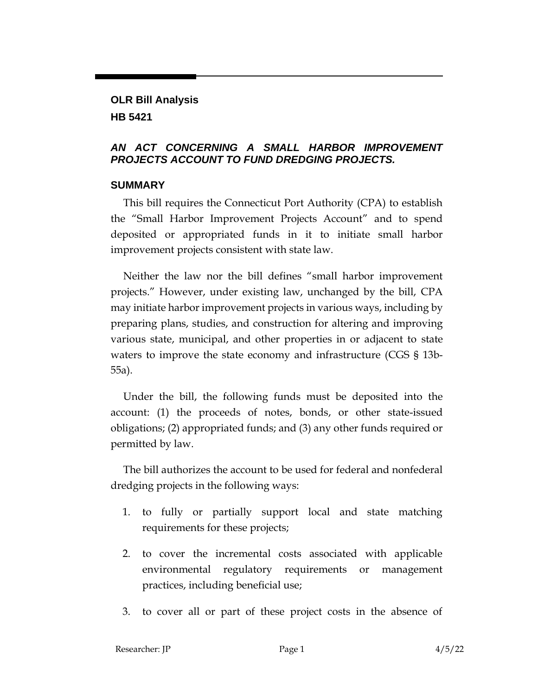## **OLR Bill Analysis**

**HB 5421**

## *AN ACT CONCERNING A SMALL HARBOR IMPROVEMENT PROJECTS ACCOUNT TO FUND DREDGING PROJECTS.*

## **SUMMARY**

This bill requires the Connecticut Port Authority (CPA) to establish the "Small Harbor Improvement Projects Account" and to spend deposited or appropriated funds in it to initiate small harbor improvement projects consistent with state law.

Neither the law nor the bill defines "small harbor improvement projects." However, under existing law, unchanged by the bill, CPA may initiate harbor improvement projects in various ways, including by preparing plans, studies, and construction for altering and improving various state, municipal, and other properties in or adjacent to state waters to improve the state economy and infrastructure [\(CGS § 13b-](https://www.cga.ct.gov/current/pub/chap_242.htm#sec_13b-55a)[55a\)](https://www.cga.ct.gov/current/pub/chap_242.htm#sec_13b-55a).

Under the bill, the following funds must be deposited into the account: (1) the proceeds of notes, bonds, or other state-issued obligations; (2) appropriated funds; and (3) any other funds required or permitted by law.

The bill authorizes the account to be used for federal and nonfederal dredging projects in the following ways:

- 1. to fully or partially support local and state matching requirements for these projects;
- 2. to cover the incremental costs associated with applicable environmental regulatory requirements or management practices, including beneficial use;
- 3. to cover all or part of these project costs in the absence of